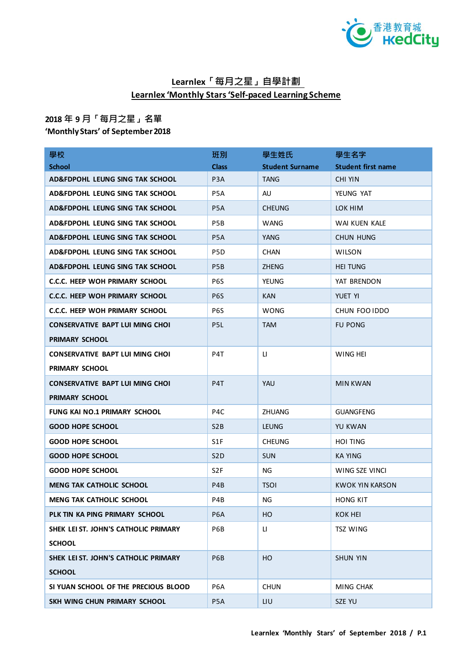

## **Learnlex「每月之星」自學計劃 Learnlex 'Monthly Stars 'Self-paced Learning Scheme**

## **2018 年 9 月「每月之星」名單**

**'Monthly Stars' of September 2018**

| 學校                                         | 班別               | 學生姓氏                   | 學生名字                      |
|--------------------------------------------|------------------|------------------------|---------------------------|
| <b>School</b>                              | <b>Class</b>     | <b>Student Surname</b> | <b>Student first name</b> |
| AD&FDPOHL LEUNG SING TAK SCHOOL            | P <sub>3</sub> A | <b>TANG</b>            | <b>CHI YIN</b>            |
| AD&FDPOHL LEUNG SING TAK SCHOOL            | P <sub>5</sub> A | AU                     | YEUNG YAT                 |
| AD&FDPOHL LEUNG SING TAK SCHOOL            | P <sub>5</sub> A | <b>CHEUNG</b>          | LOK HIM                   |
| AD&FDPOHL LEUNG SING TAK SCHOOL            | P <sub>5</sub> B | WANG                   | WAI KUEN KALE             |
| AD&FDPOHL LEUNG SING TAK SCHOOL            | P <sub>5</sub> A | YANG                   | <b>CHUN HUNG</b>          |
| <b>AD&amp;FDPOHL LEUNG SING TAK SCHOOL</b> | P <sub>5</sub> D | <b>CHAN</b>            | <b>WILSON</b>             |
| AD&FDPOHL LEUNG SING TAK SCHOOL            | P <sub>5</sub> B | <b>ZHENG</b>           | <b>HEI TUNG</b>           |
| C.C.C. HEEP WOH PRIMARY SCHOOL             | P6S              | <b>YEUNG</b>           | YAT BRENDON               |
| <b>C.C.C. HEEP WOH PRIMARY SCHOOL</b>      | P <sub>6</sub> S | <b>KAN</b>             | YUET YI                   |
| C.C.C. HEEP WOH PRIMARY SCHOOL             | P6S              | <b>WONG</b>            | CHUN FOO IDDO             |
| <b>CONSERVATIVE BAPT LUI MING CHOI</b>     | P <sub>5</sub> L | <b>TAM</b>             | <b>FU PONG</b>            |
| <b>PRIMARY SCHOOL</b>                      |                  |                        |                           |
| <b>CONSERVATIVE BAPT LUI MING CHOI</b>     | P4T              | П                      | WING HEI                  |
| PRIMARY SCHOOL                             |                  |                        |                           |
| <b>CONSERVATIVE BAPT LUI MING CHOI</b>     | P <sub>4</sub> T | <b>YAU</b>             | <b>MIN KWAN</b>           |
| PRIMARY SCHOOL                             |                  |                        |                           |
| <b>FUNG KAI NO.1 PRIMARY SCHOOL</b>        | P <sub>4</sub> C | <b>ZHUANG</b>          | <b>GUANGFENG</b>          |
| <b>GOOD HOPE SCHOOL</b>                    | S <sub>2</sub> B | <b>LEUNG</b>           | YU KWAN                   |
| <b>GOOD HOPE SCHOOL</b>                    | S1F              | <b>CHEUNG</b>          | <b>HOI TING</b>           |
| <b>GOOD HOPE SCHOOL</b>                    | S <sub>2</sub> D | <b>SUN</b>             | KA YING                   |
| <b>GOOD HOPE SCHOOL</b>                    | S <sub>2F</sub>  | NG.                    | WING SZE VINCI            |
| <b>MENG TAK CATHOLIC SCHOOL</b>            | P <sub>4</sub> B | <b>TSOI</b>            | <b>KWOK YIN KARSON</b>    |
| <b>MENG TAK CATHOLIC SCHOOL</b>            | P4B              | NG                     | HONG KIT                  |
| PLK TIN KA PING PRIMARY SCHOOL             | P <sub>6</sub> A | HO                     | KOK HEI                   |
| SHEK LEI ST. JOHN'S CATHOLIC PRIMARY       | P6B              | П                      | TSZ WING                  |
| <b>SCHOOL</b>                              |                  |                        |                           |
| SHEK LEI ST. JOHN'S CATHOLIC PRIMARY       | P6B              | HO                     | <b>SHUN YIN</b>           |
| <b>SCHOOL</b>                              |                  |                        |                           |
| SI YUAN SCHOOL OF THE PRECIOUS BLOOD       | P <sub>6</sub> A | <b>CHUN</b>            | MING CHAK                 |
| SKH WING CHUN PRIMARY SCHOOL               | P <sub>5</sub> A | LIU                    | SZE YU                    |